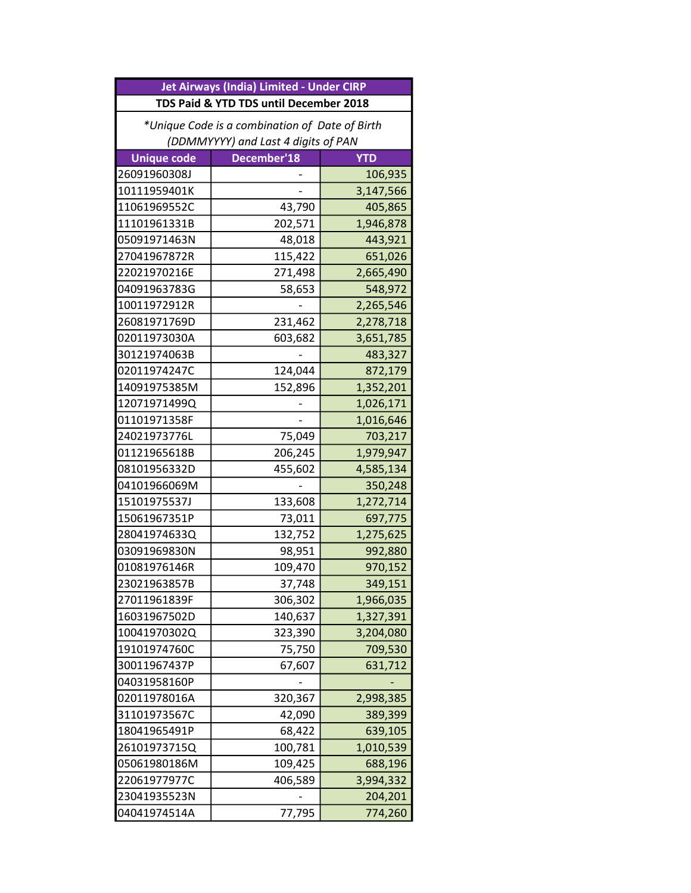| Jet Airways (India) Limited - Under CIRP       |             |            |  |  |
|------------------------------------------------|-------------|------------|--|--|
| TDS Paid & YTD TDS until December 2018         |             |            |  |  |
| *Unique Code is a combination of Date of Birth |             |            |  |  |
| (DDMMYYYY) and Last 4 digits of PAN            |             |            |  |  |
| <b>Unique code</b>                             | December'18 | <b>YTD</b> |  |  |
| 26091960308J                                   |             | 106,935    |  |  |
| 10111959401K                                   |             | 3,147,566  |  |  |
| 11061969552C                                   | 43,790      | 405,865    |  |  |
| 11101961331B                                   | 202,571     | 1,946,878  |  |  |
| 05091971463N                                   | 48,018      | 443,921    |  |  |
| 27041967872R                                   | 115,422     | 651,026    |  |  |
| 22021970216E                                   | 271,498     | 2,665,490  |  |  |
| 04091963783G                                   | 58,653      | 548,972    |  |  |
| 10011972912R                                   |             | 2,265,546  |  |  |
| 26081971769D                                   | 231,462     | 2,278,718  |  |  |
| 02011973030A                                   | 603,682     | 3,651,785  |  |  |
| 30121974063B                                   |             | 483,327    |  |  |
| 02011974247C                                   | 124,044     | 872,179    |  |  |
| 14091975385M                                   | 152,896     | 1,352,201  |  |  |
| 12071971499Q                                   |             | 1,026,171  |  |  |
| 01101971358F                                   |             | 1,016,646  |  |  |
| 24021973776L                                   | 75,049      | 703,217    |  |  |
| 01121965618B                                   | 206,245     | 1,979,947  |  |  |
| 08101956332D                                   | 455,602     | 4,585,134  |  |  |
| 04101966069M                                   |             | 350,248    |  |  |
| 15101975537J                                   | 133,608     | 1,272,714  |  |  |
| 15061967351P                                   | 73,011      | 697,775    |  |  |
| 28041974633Q                                   | 132,752     | 1,275,625  |  |  |
| 03091969830N                                   | 98,951      | 992,880    |  |  |
| 01081976146R                                   | 109,470     | 970,152    |  |  |
| 23021963857B                                   | 37,748      | 349,151    |  |  |
| 27011961839F                                   | 306,302     | 1,966,035  |  |  |
| 16031967502D                                   | 140,637     | 1,327,391  |  |  |
| 10041970302Q                                   | 323,390     | 3,204,080  |  |  |
| 19101974760C                                   | 75,750      | 709,530    |  |  |
| 30011967437P                                   | 67,607      | 631,712    |  |  |
| 04031958160P                                   |             |            |  |  |
| 02011978016A                                   | 320,367     | 2,998,385  |  |  |
| 31101973567C                                   | 42,090      | 389,399    |  |  |
| 18041965491P                                   | 68,422      | 639,105    |  |  |
| 26101973715Q                                   | 100,781     | 1,010,539  |  |  |
| 05061980186M                                   | 109,425     | 688,196    |  |  |
| 22061977977C                                   | 406,589     | 3,994,332  |  |  |
| 23041935523N                                   |             | 204,201    |  |  |
| 04041974514A                                   | 77,795      | 774,260    |  |  |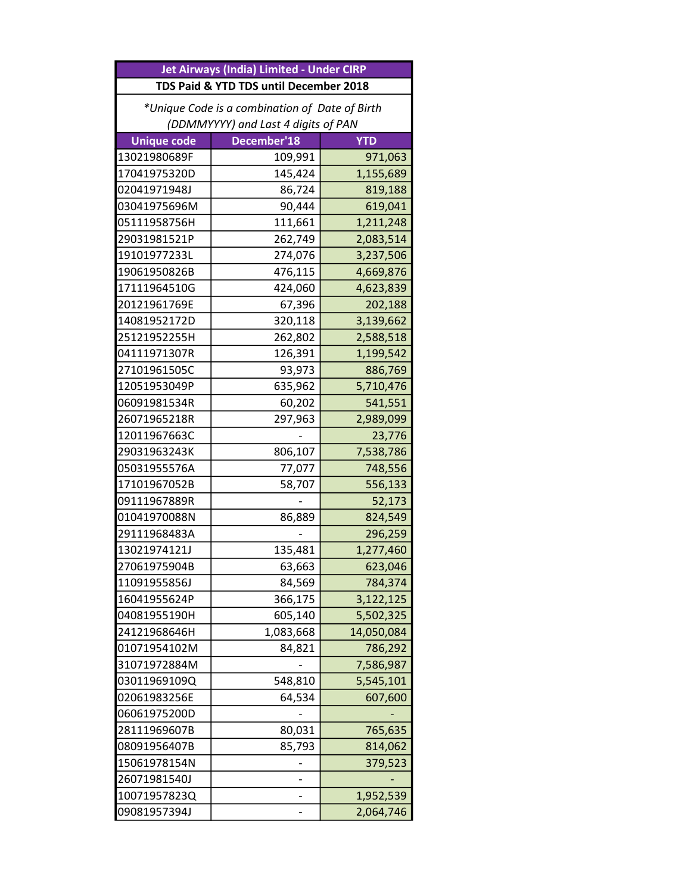| Jet Airways (India) Limited - Under CIRP       |             |            |  |  |
|------------------------------------------------|-------------|------------|--|--|
| TDS Paid & YTD TDS until December 2018         |             |            |  |  |
| *Unique Code is a combination of Date of Birth |             |            |  |  |
| (DDMMYYYY) and Last 4 digits of PAN            |             |            |  |  |
| <b>Unique code</b>                             | December'18 | <b>YTD</b> |  |  |
| 13021980689F                                   | 109,991     | 971,063    |  |  |
| 17041975320D                                   | 145,424     | 1,155,689  |  |  |
| 02041971948J                                   | 86,724      | 819,188    |  |  |
| 03041975696M                                   | 90,444      | 619,041    |  |  |
| 05111958756H                                   | 111,661     | 1,211,248  |  |  |
| 29031981521P                                   | 262,749     | 2,083,514  |  |  |
| 19101977233L                                   | 274,076     | 3,237,506  |  |  |
| 19061950826B                                   | 476,115     | 4,669,876  |  |  |
| 17111964510G                                   | 424,060     | 4,623,839  |  |  |
| 20121961769E                                   | 67,396      | 202,188    |  |  |
| 14081952172D                                   | 320,118     | 3,139,662  |  |  |
| 25121952255H                                   | 262,802     | 2,588,518  |  |  |
| 04111971307R                                   | 126,391     | 1,199,542  |  |  |
| 27101961505C                                   | 93,973      | 886,769    |  |  |
| 12051953049P                                   | 635,962     | 5,710,476  |  |  |
| 06091981534R                                   | 60,202      | 541,551    |  |  |
| 26071965218R                                   | 297,963     | 2,989,099  |  |  |
| 12011967663C                                   |             | 23,776     |  |  |
| 29031963243K                                   | 806,107     | 7,538,786  |  |  |
| 05031955576A                                   | 77,077      | 748,556    |  |  |
| 17101967052B                                   | 58,707      | 556,133    |  |  |
| 09111967889R                                   |             | 52,173     |  |  |
| 01041970088N                                   | 86,889      | 824,549    |  |  |
| 29111968483A                                   |             | 296,259    |  |  |
| 13021974121J                                   | 135,481     | 1,277,460  |  |  |
| 27061975904B                                   | 63,663      | 623,046    |  |  |
| 11091955856J                                   | 84,569      | 784,374    |  |  |
| 16041955624P                                   | 366,175     | 3,122,125  |  |  |
| 04081955190H                                   | 605,140     | 5,502,325  |  |  |
| 24121968646H                                   | 1,083,668   | 14,050,084 |  |  |
| 01071954102M                                   | 84,821      | 786,292    |  |  |
| 31071972884M                                   |             | 7,586,987  |  |  |
| 03011969109Q                                   | 548,810     | 5,545,101  |  |  |
| 02061983256E                                   | 64,534      | 607,600    |  |  |
| 06061975200D                                   |             |            |  |  |
| 28111969607B                                   | 80,031      | 765,635    |  |  |
| 08091956407B                                   | 85,793      | 814,062    |  |  |
| 15061978154N                                   |             | 379,523    |  |  |
| 26071981540J                                   |             |            |  |  |
| 10071957823Q                                   |             | 1,952,539  |  |  |
| 09081957394J                                   |             | 2,064,746  |  |  |